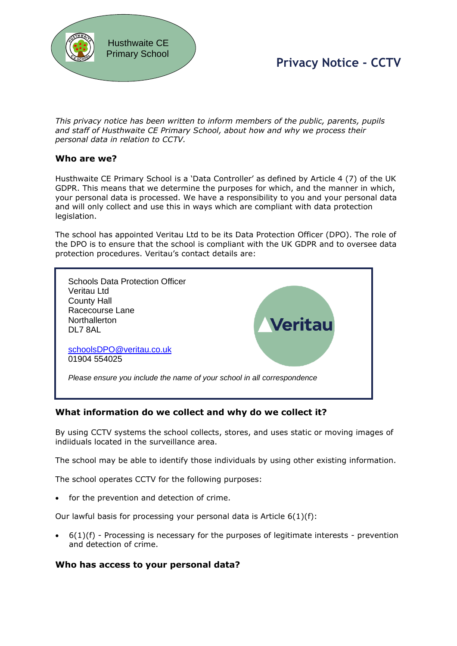

*This privacy notice has been written to inform members of the public, parents, pupils and staff of Husthwaite CE Primary School, about how and why we process their personal data in relation to CCTV.*

### **Who are we?**

Husthwaite CE Primary School is a 'Data Controller' as defined by Article 4 (7) of the UK GDPR. This means that we determine the purposes for which, and the manner in which, your personal data is processed. We have a responsibility to you and your personal data and will only collect and use this in ways which are compliant with data protection legislation.

The school has appointed Veritau Ltd to be its Data Protection Officer (DPO). The role of the DPO is to ensure that the school is compliant with the UK GDPR and to oversee data protection procedures. Veritau's contact details are:



# **What information do we collect and why do we collect it?**

By using CCTV systems the school collects, stores, and uses static or moving images of indiiduals located in the surveillance area.

The school may be able to identify those individuals by using other existing information.

The school operates CCTV for the following purposes:

for the prevention and detection of crime.

Our lawful basis for processing your personal data is Article  $6(1)(f)$ :

 $6(1)(f)$  - Processing is necessary for the purposes of legitimate interests - prevention and detection of crime.

# **Who has access to your personal data?**